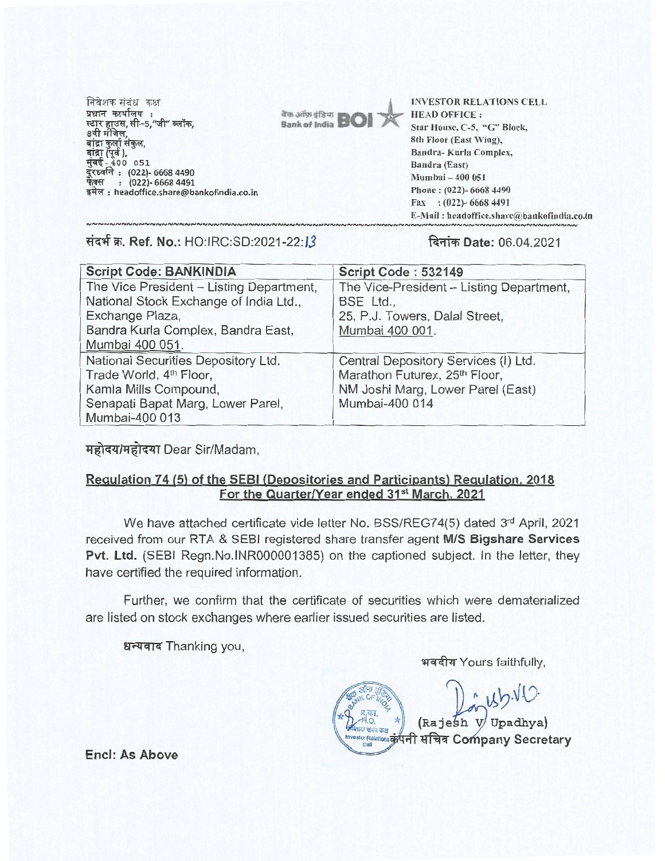निवेशक संबंध कक्ष<br>प्रधान कार्यालय : 'MR etoziici4-4 : tes aft; Otto 711-5,"t" **Bank of India**  8वी ग बांद्रा कुर्ला संकुल*,*<br>बांद्रा (पूर्व ), मुबई - 400 051 : (022)- 6668 4490 (022)- 6668 4491 इमेल: headoffice.share@bankofindia.co.in



INVESTOR RELATIONS CELL HEAD OFFICE : Star House, C-5, "G" Block, 8th Floor (East Wing), Bandra- Kurla Complex, Bandra (East) Mumbai — 400 051 Phone : (022)- 6668 4490 Fax : (022)- 6668 4491 E-Mail : headoffice.share@bankotindia.co.in

**tiq W. Ref. No.:** HO:IRC:SD:2021-22:13 **ftfftw Date:** 06.04.2021

| <b>Script Code: BANKINDIA</b>            | Script Code: 532149                      |
|------------------------------------------|------------------------------------------|
| The Vice President - Listing Department, | The Vice-President - Listing Department, |
| National Stock Exchange of India Ltd.,   | BSE Ltd.,                                |
| Exchange Plaza,                          | 25, P.J. Towers, Dalal Street,           |
| Bandra Kurla Complex, Bandra East,       | Mumbai 400 001.                          |
| Mumbai 400 051.                          |                                          |
| National Securities Depository Ltd.      | Central Depository Services (I) Ltd.     |
| Trade World, 4 <sup>th</sup> Floor,      | Marathon Futurex, 25th Floor,            |
| Kamla Mills Compound,                    | NM Joshi Marg, Lower Parel (East)        |
| Senapati Bapat Marg, Lower Parel,        | Mumbai-400 014                           |
| Mumbai-400 013                           |                                          |

महोदय/महोदया Dear Sir/Madam,

## **Regulation 74 (5) of the SEBI (Depositories and Participants) Regulation, 2018 For the Quarter/Year ended 31st March. 2021**

We have attached certificate vide letter No. BSS/REG74(5) dated 3rd April, 2021 received from our RTA & SEBI registered share transfer agent **M/S Bigshare Services Pvt. Ltd.** (SEBI Regn.No.INR000001385) on the captioned subject. In the letter, they have certified the required information.

Further, we confirm that the certificate of securities which were dematerialized are listed on stock exchanges where earlier issued securities are listed.

धन्यवाद Thanking you,

भवदीय Yours faithfully,

 $2\pi\sqrt{3}$  $OF'$ *WALLET CONTROLLED*  $\nu$ (Rajesh V Upadhya) in U<sub>2</sub> V<sub>2</sub> V3 V<br>Rajesh V Upadhya)<br>सचिव Company Secretary

**Encl: As Above**